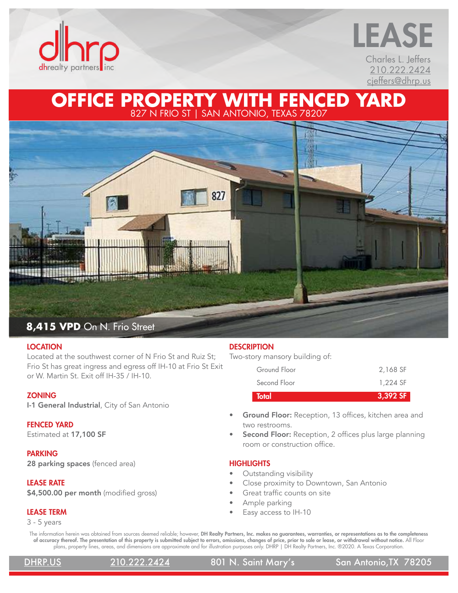

# Charles L. Jeffers [210.222.2424](tel:210-222-2424) [cjeffers@dhrp.us](mailto:cjeffers%40dhrp.us?subject=) LEASE

## **OFFICE PROPERTY WITH FENCED YARD** 827 N FRIO ST | SAN ANTONIO, TEXAS 78207



#### **LOCATION**

Located at the southwest corner of N Frio St and Ruiz St; Frio St has great ingress and egress off IH-10 at Frio St Exit or W. Martin St. Exit off IH-35 / IH-10.

#### **ZONING**

I-1 General Industrial, City of San Antonio

#### FENCED YARD

Estimated at 17,100 SF

#### PARKING

28 parking spaces (fenced area)

### LEASE RATE

\$4,500.00 per month (modified gross)

### LEASE TERM

3 - 5 years

### **DESCRIPTION**

Two-story mansory building of:

| <b>Total</b> | 3,392 SF |
|--------------|----------|
| Second Floor | 1.224 SF |
| Ground Floor | 2,168 SF |

- Ground Floor: Reception, 13 offices, kitchen area and two restrooms.
- Second Floor: Reception, 2 offices plus large planning room or construction office.

### **HIGHLIGHTS**

- Outstanding visibility
- Close proximity to Downtown, San Antonio
- Great traffic counts on site
- Ample parking
- Easy access to IH-10

The information herein was obtained from sources deemed reliable; however, DH Realty Partners, Inc. makes no guarantees, warranties, or representations as to the completeness of accuracy thereof. The presentation of this property is submitted subject to errors, omissions, changes of price, prior to sale or lease, or withdrawal without notice. All Floor plans, property lines, areas, and dimensions are approximate and for illustration purposes only. DHRP | DH Realty Partners, Inc. ®2020. A Texas Corporation.

[DHRP.US](http://www.dhrp.us) [210.222.2424](tel:210-222-2424) 801 N. Saint Mary's San Antonio,TX 78205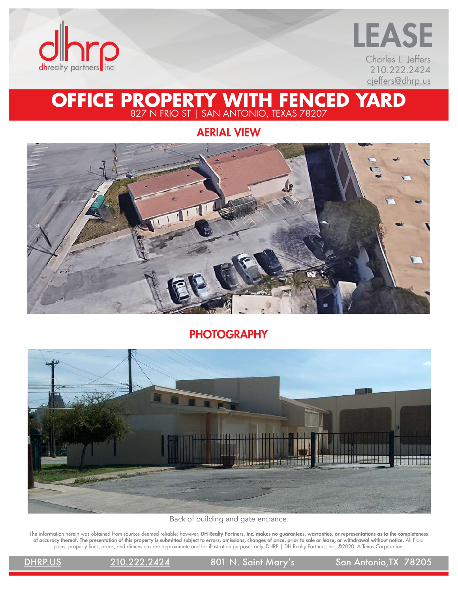



AERIAL VIEW



### **PHOTOGRAPHY**



Back of building and gate entrance.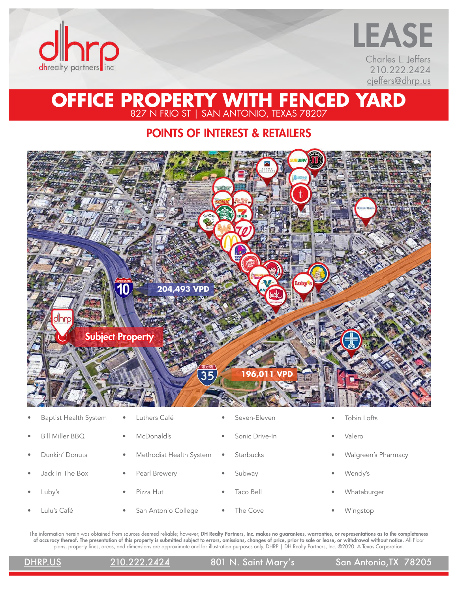



POINTS OF INTEREST & RETAILERS



|           | <u>Papust Health System Futhers Care</u> |           |                         |           | <u>JEVELI-LIEVEIT</u> |           | TUMIT LUTLJ         |
|-----------|------------------------------------------|-----------|-------------------------|-----------|-----------------------|-----------|---------------------|
| ٠         | <b>Bill Miller BBO</b>                   | $\bullet$ | McDonald's              | $\bullet$ | Sonic Drive-In        | ۰         | Valero              |
| $\bullet$ | Dunkin' Donuts                           | $\bullet$ | Methodist Health System | ۰         | <b>Starbucks</b>      | $\bullet$ | Walgreen's Pharmacy |
| $\bullet$ | Jack In The Box                          | $\bullet$ | Pearl Brewery           | ۰         | Subway                | ۰         | Wendy's             |
| $\bullet$ | Luby's                                   | $\bullet$ | Pizza Hut               | $\bullet$ | Taco Bell             | ۰         | Whataburger         |
| ٠         | Lulu's Café                              | $\bullet$ | San Antonio College     | ۰         | The Cove              |           | Wingstop            |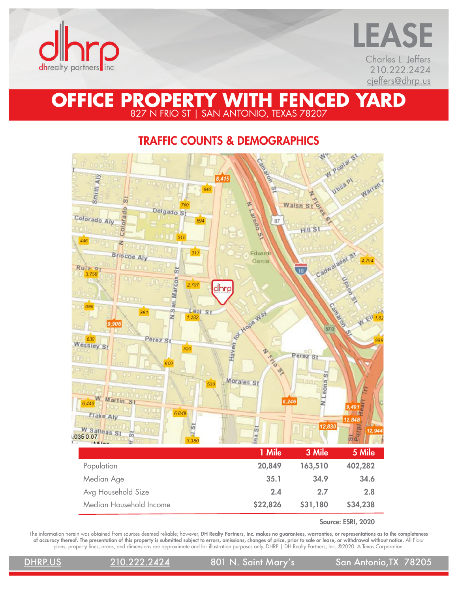



# TRAFFIC COUNTS & DEMOGRAPHICS



Source: ESRI, 2020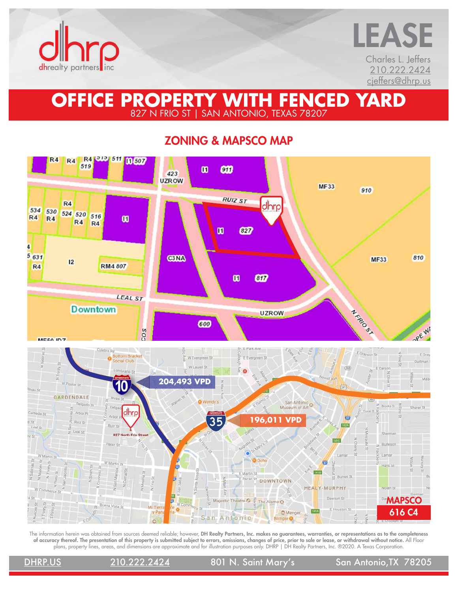



ZONING & MAPSCO MAP

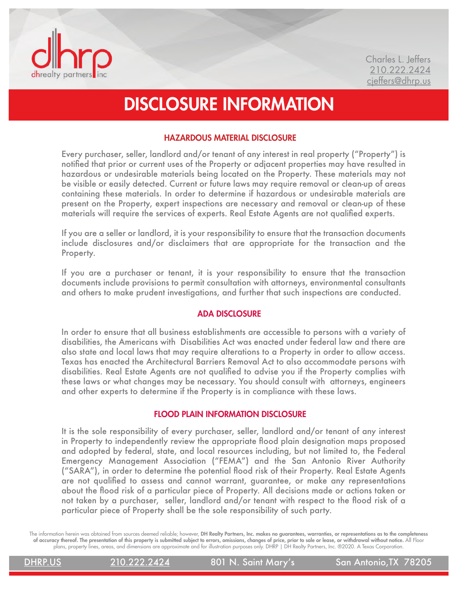

# DISCLOSURE INFORMATION

### HAZARDOUS MATERIAL DISCLOSURE

Every purchaser, seller, landlord and/or tenant of any interest in real property ("Property") is notified that prior or current uses of the Property or adjacent properties may have resulted in hazardous or undesirable materials being located on the Property. These materials may not be visible or easily detected. Current or future laws may require removal or clean-up of areas containing these materials. In order to determine if hazardous or undesirable materials are present on the Property, expert inspections are necessary and removal or clean-up of these materials will require the services of experts. Real Estate Agents are not qualified experts.

If you are a seller or landlord, it is your responsibility to ensure that the transaction documents include disclosures and/or disclaimers that are appropriate for the transaction and the Property.

If you are a purchaser or tenant, it is your responsibility to ensure that the transaction documents include provisions to permit consultation with attorneys, environmental consultants and others to make prudent investigations, and further that such inspections are conducted.

### ADA DISCLOSURE

In order to ensure that all business establishments are accessible to persons with a variety of disabilities, the Americans with Disabilities Act was enacted under federal law and there are also state and local laws that may require alterations to a Property in order to allow access. Texas has enacted the Architectural Barriers Removal Act to also accommodate persons with disabilities. Real Estate Agents are not qualified to advise you if the Property complies with these laws or what changes may be necessary. You should consult with attorneys, engineers and other experts to determine if the Property is in compliance with these laws.

### FLOOD PLAIN INFORMATION DISCLOSURE

It is the sole responsibility of every purchaser, seller, landlord and/or tenant of any interest in Property to independently review the appropriate flood plain designation maps proposed and adopted by federal, state, and local resources including, but not limited to, the Federal Emergency Management Association ("FEMA") and the San Antonio River Authority ("SARA"), in order to determine the potential flood risk of their Property. Real Estate Agents are not qualified to assess and cannot warrant, guarantee, or make any representations about the flood risk of a particular piece of Property. All decisions made or actions taken or not taken by a purchaser, seller, landlord and/or tenant with respect to the flood risk of a particular piece of Property shall be the sole responsibility of such party.